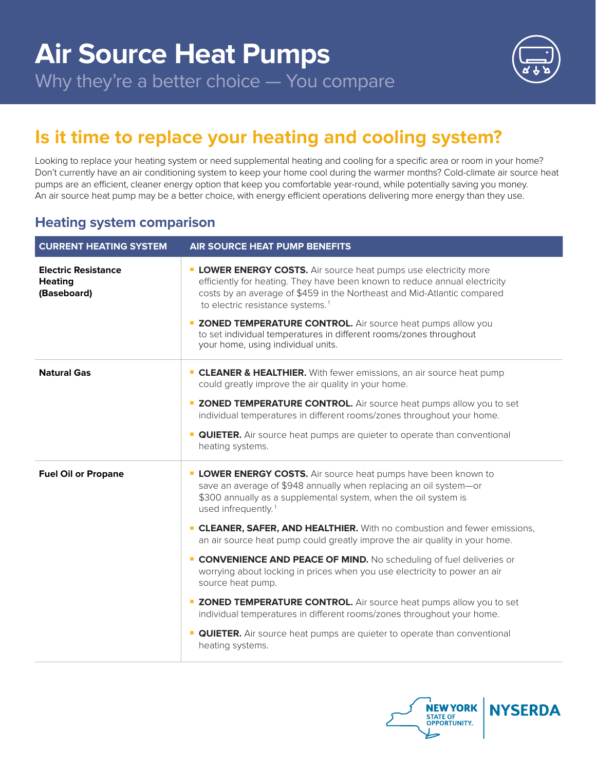

# **Is it time to replace your heating and cooling system?**

Looking to replace your heating system or need supplemental heating and cooling for a specific area or room in your home? Don't currently have an air conditioning system to keep your home cool during the warmer months? Cold-climate air source heat pumps are an efficient, cleaner energy option that keep you comfortable year-round, while potentially saving you money. An air source heat pump may be a better choice, with energy efficient operations delivering more energy than they use.

### **Heating system comparison**

| <b>CURRENT HEATING SYSTEM</b>                               | <b>AIR SOURCE HEAT PUMP BENEFITS</b>                                                                                                                                                                                                                                                                                                                                                                                                                              |
|-------------------------------------------------------------|-------------------------------------------------------------------------------------------------------------------------------------------------------------------------------------------------------------------------------------------------------------------------------------------------------------------------------------------------------------------------------------------------------------------------------------------------------------------|
| <b>Electric Resistance</b><br><b>Heating</b><br>(Baseboard) | <b>LOWER ENERGY COSTS.</b> Air source heat pumps use electricity more<br>efficiently for heating. They have been known to reduce annual electricity<br>costs by an average of \$459 in the Northeast and Mid-Atlantic compared<br>to electric resistance systems. <sup>1</sup><br><b>E ZONED TEMPERATURE CONTROL.</b> Air source heat pumps allow you<br>to set individual temperatures in different rooms/zones throughout<br>your home, using individual units. |
| <b>Natural Gas</b>                                          | <b>CLEANER &amp; HEALTHIER.</b> With fewer emissions, an air source heat pump<br>could greatly improve the air quality in your home.                                                                                                                                                                                                                                                                                                                              |
|                                                             | <b>E ZONED TEMPERATURE CONTROL.</b> Air source heat pumps allow you to set<br>individual temperatures in different rooms/zones throughout your home.                                                                                                                                                                                                                                                                                                              |
|                                                             | <b>QUIETER.</b> Air source heat pumps are quieter to operate than conventional<br>heating systems.                                                                                                                                                                                                                                                                                                                                                                |
| <b>Fuel Oil or Propane</b>                                  | <b>LOWER ENERGY COSTS.</b> Air source heat pumps have been known to<br>save an average of \$948 annually when replacing an oil system-or<br>\$300 annually as a supplemental system, when the oil system is<br>used infrequently. <sup>1</sup>                                                                                                                                                                                                                    |
|                                                             | <b>CLEANER, SAFER, AND HEALTHIER.</b> With no combustion and fewer emissions,<br>an air source heat pump could greatly improve the air quality in your home.                                                                                                                                                                                                                                                                                                      |
|                                                             | <b>CONVENIENCE AND PEACE OF MIND.</b> No scheduling of fuel deliveries or<br>worrying about locking in prices when you use electricity to power an air<br>source heat pump.                                                                                                                                                                                                                                                                                       |
|                                                             | <b>E ZONED TEMPERATURE CONTROL.</b> Air source heat pumps allow you to set<br>individual temperatures in different rooms/zones throughout your home.                                                                                                                                                                                                                                                                                                              |
|                                                             | <b>QUIETER.</b> Air source heat pumps are quieter to operate than conventional<br>heating systems.                                                                                                                                                                                                                                                                                                                                                                |